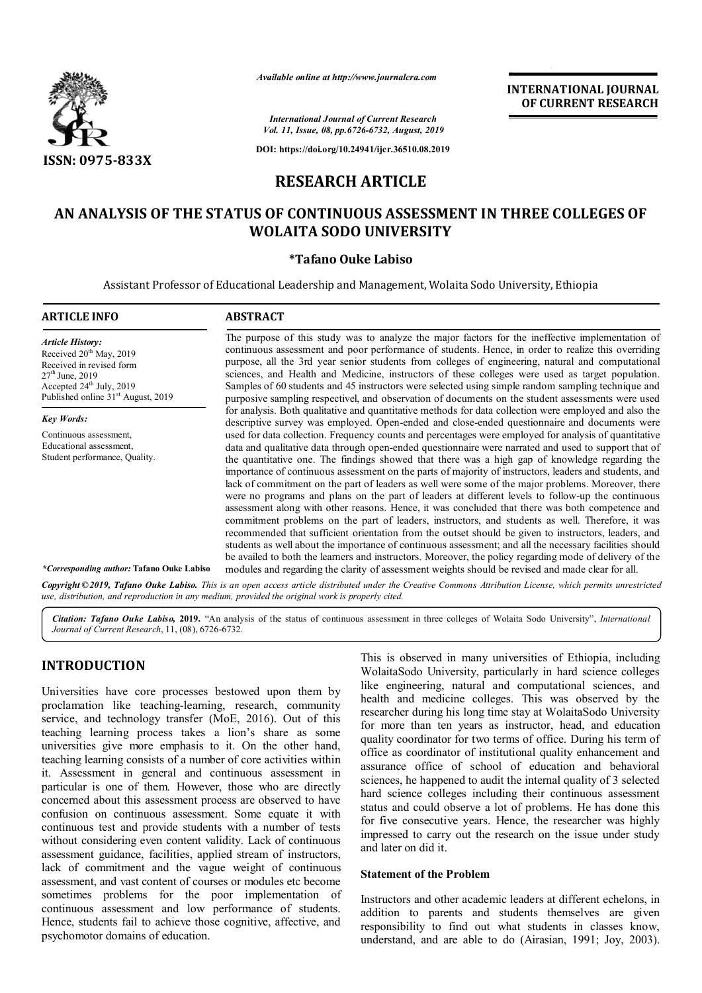

*Available online at http://www.journalcra.com*

*International Journal of Current Research Vol. 11, Issue, 08, pp.6726-6732, August, 2019*

**DOI: https://doi.org/10.24941/ijcr.36510.08.2019**

# **RESEARCH ARTICLE**

# **AN ANALYSIS OF THE STATUS OF CONTINUOUS ASSESSMENT IN THREE COLLEGES OF WOLAITA SODO UNIVERSITY**

# **\*Tafano Ouke Labiso**

Assistant Professor of Educational Leadership and Management, Wolaita Sodo University, Ethiopia

| <b>ABSTRACT</b>                                                                                                                                                                                                                                                                                                                                                                                                                                                                                                                                                                                                                                                                                                                                                                                                                                                                                       |
|-------------------------------------------------------------------------------------------------------------------------------------------------------------------------------------------------------------------------------------------------------------------------------------------------------------------------------------------------------------------------------------------------------------------------------------------------------------------------------------------------------------------------------------------------------------------------------------------------------------------------------------------------------------------------------------------------------------------------------------------------------------------------------------------------------------------------------------------------------------------------------------------------------|
| The purpose of this study was to analyze the major factors for the ineffective implementation of<br>continuous assessment and poor performance of students. Hence, in order to realize this overriding<br>purpose, all the 3rd year senior students from colleges of engineering, natural and computational<br>sciences, and Health and Medicine, instructors of these colleges were used as target population.<br>Samples of 60 students and 45 instructors were selected using simple random sampling technique and<br>purposive sampling respectivel, and observation of documents on the student assessments were used                                                                                                                                                                                                                                                                            |
| for analysis. Both qualitative and quantitative methods for data collection were employed and also the<br>descriptive survey was employed. Open-ended and close-ended questionnaire and documents were                                                                                                                                                                                                                                                                                                                                                                                                                                                                                                                                                                                                                                                                                                |
| used for data collection. Frequency counts and percentages were employed for analysis of quantitative                                                                                                                                                                                                                                                                                                                                                                                                                                                                                                                                                                                                                                                                                                                                                                                                 |
| data and qualitative data through open-ended questionnaire were narrated and used to support that of                                                                                                                                                                                                                                                                                                                                                                                                                                                                                                                                                                                                                                                                                                                                                                                                  |
| the quantitative one. The findings showed that there was a high gap of knowledge regarding the<br>importance of continuous assessment on the parts of majority of instructors, leaders and students, and                                                                                                                                                                                                                                                                                                                                                                                                                                                                                                                                                                                                                                                                                              |
| lack of commitment on the part of leaders as well were some of the major problems. Moreover, there<br>were no programs and plans on the part of leaders at different levels to follow-up the continuous<br>assessment along with other reasons. Hence, it was concluded that there was both competence and<br>commitment problems on the part of leaders, instructors, and students as well. Therefore, it was<br>recommended that sufficient orientation from the outset should be given to instructors, leaders, and<br>students as well about the importance of continuous assessment; and all the necessary facilities should<br>be availed to both the learners and instructors. Moreover, the policy regarding mode of delivery of the<br>modules and regarding the clarity of assessment weights should be revised and made clear for all.<br><i>*Corresponding author:</i> Tafano Ouke Labiso |
| Conveight@2010, Tatano Oute Labiso. This is an open access article distributed under the Creative Commons Attribution License which permits unrestricted                                                                                                                                                                                                                                                                                                                                                                                                                                                                                                                                                                                                                                                                                                                                              |

**Ouke Labiso.** This is an open access article distributed under the Creative Commons Attribution License, which permits unrestricted *use, distribution, and reproduction in any medium, provided the original work is properly cited.*

*Citation: Tafano Ouke Labiso,* **2019.** "An analysis of the status of continuous assessment in three colleges of Wolaita Sodo University", *International Journal of Current Research*, 11, (08), 6726-6732.

# **INTRODUCTION**

Universities have core processes bestowed upon them by proclamation like teaching-learning, research, community service, and technology transfer (MoE, 2016). Out of this teaching learning process takes a lion's share as some universities give more emphasis to it. On the other hand, teaching learning consists of a number of core activities within it. Assessment in general and continuous assessment in particular is one of them. However, those who are directly concerned about this assessment process are observed to have confusion on continuous assessment. Some equate it with continuous test and provide students with a number of tests without considering even content validity. Lack of continuous assessment guidance, facilities, applied stream of instructors, lack of commitment and the vague weight of continuous assessment, and vast content of courses or modules etc become sometimes problems for the poor implementation of continuous assessment and low performance of students. Hence, students fail to achieve those cognitive, affective, and psychomotor domains of education.

This is observed in many universities of Ethiopia, including WolaitaSodo University, particularly in hard science colleges like engineering, natural and computational sciences, and health and medicine colleges. This was observed by the researcher during his long time stay at WolaitaSodo University for more than ten years as instructor, head, and education quality coordinator for two terms of office. During his term of office as coordinator of institutional quality enhancement and assurance office of school of education and behavioral sciences, he happened to audit the internal quality of 3 selected hard science colleges including their continuous assessment status and could observe a lot of problems. He has done this for five consecutive years. Hence, the researcher was highly impressed to carry out the research on the issue under study and later on did it.

**INTERNATIONAL JOURNAL OF CURRENT RESEARCH**

#### **Statement of the Problem**

Instructors and other academic leaders at different echelons, in addition to parents and students themselves are given responsibility to find out what students in classes know, understand, and are able to do (Airasian, 1991; Joy, 2003).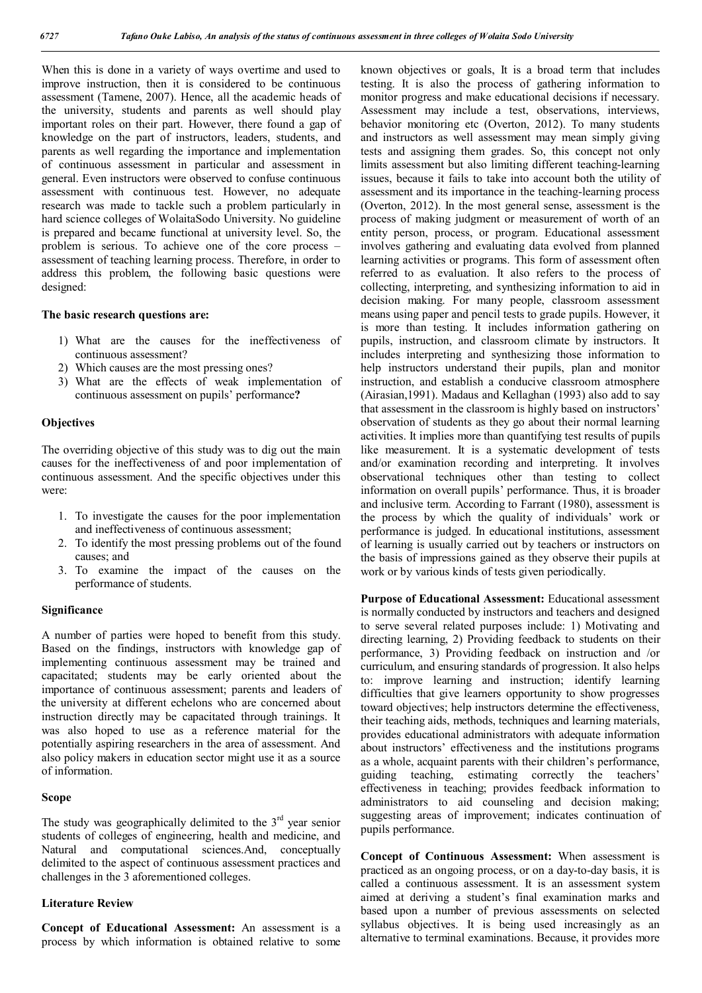When this is done in a variety of ways overtime and used to improve instruction, then it is considered to be continuous assessment (Tamene, 2007). Hence, all the academic heads of the university, students and parents as well should play important roles on their part. However, there found a gap of knowledge on the part of instructors, leaders, students, and parents as well regarding the importance and implementation of continuous assessment in particular and assessment in general. Even instructors were observed to confuse continuous assessment with continuous test. However, no adequate research was made to tackle such a problem particularly in hard science colleges of WolaitaSodo University. No guideline is prepared and became functional at university level. So, the problem is serious. To achieve one of the core process – assessment of teaching learning process. Therefore, in order to address this problem, the following basic questions were designed:

#### **The basic research questions are:**

- 1) What are the causes for the ineffectiveness of continuous assessment?
- 2) Which causes are the most pressing ones?
- 3) What are the effects of weak implementation of continuous assessment on pupils' performance**?**

#### **Objectives**

The overriding objective of this study was to dig out the main causes for the ineffectiveness of and poor implementation of continuous assessment. And the specific objectives under this were:

- 1. To investigate the causes for the poor implementation and ineffectiveness of continuous assessment;
- 2. To identify the most pressing problems out of the found causes; and
- 3. To examine the impact of the causes on the performance of students.

#### **Significance**

A number of parties were hoped to benefit from this study. Based on the findings, instructors with knowledge gap of implementing continuous assessment may be trained and capacitated; students may be early oriented about the importance of continuous assessment; parents and leaders of the university at different echelons who are concerned about instruction directly may be capacitated through trainings. It was also hoped to use as a reference material for the potentially aspiring researchers in the area of assessment. And also policy makers in education sector might use it as a source of information.

#### **Scope**

The study was geographically delimited to the  $3<sup>rd</sup>$  year senior students of colleges of engineering, health and medicine, and Natural and computational sciences.And, conceptually delimited to the aspect of continuous assessment practices and challenges in the 3 aforementioned colleges.

#### **Literature Review**

**Concept of Educational Assessment:** An assessment is a process by which information is obtained relative to some known objectives or goals, It is a broad term that includes testing. It is also the process of gathering information to monitor progress and make educational decisions if necessary. Assessment may include a test, observations, interviews, behavior monitoring etc (Overton, 2012). To many students and instructors as well assessment may mean simply giving tests and assigning them grades. So, this concept not only limits assessment but also limiting different teaching-learning issues, because it fails to take into account both the utility of assessment and its importance in the teaching-learning process (Overton, 2012). In the most general sense, assessment is the process of making judgment or measurement of worth of an entity person, process, or program. Educational assessment involves gathering and evaluating data evolved from planned learning activities or programs. This form of assessment often referred to as evaluation. It also refers to the process of collecting, interpreting, and synthesizing information to aid in decision making. For many people, classroom assessment means using paper and pencil tests to grade pupils. However, it is more than testing. It includes information gathering on pupils, instruction, and classroom climate by instructors. It includes interpreting and synthesizing those information to help instructors understand their pupils, plan and monitor instruction, and establish a conducive classroom atmosphere (Airasian,1991). Madaus and Kellaghan (1993) also add to say that assessment in the classroom is highly based on instructors' observation of students as they go about their normal learning activities. It implies more than quantifying test results of pupils like measurement. It is a systematic development of tests and/or examination recording and interpreting. It involves observational techniques other than testing to collect information on overall pupils' performance. Thus, it is broader and inclusive term. According to Farrant (1980), assessment is the process by which the quality of individuals' work or performance is judged. In educational institutions, assessment of learning is usually carried out by teachers or instructors on the basis of impressions gained as they observe their pupils at work or by various kinds of tests given periodically.

**Purpose of Educational Assessment:** Educational assessment is normally conducted by instructors and teachers and designed to serve several related purposes include: 1) Motivating and directing learning, 2) Providing feedback to students on their performance, 3) Providing feedback on instruction and /or curriculum, and ensuring standards of progression. It also helps to: improve learning and instruction; identify learning difficulties that give learners opportunity to show progresses toward objectives; help instructors determine the effectiveness, their teaching aids, methods, techniques and learning materials, provides educational administrators with adequate information about instructors' effectiveness and the institutions programs as a whole, acquaint parents with their children's performance, guiding teaching, estimating correctly the teachers' effectiveness in teaching; provides feedback information to administrators to aid counseling and decision making; suggesting areas of improvement; indicates continuation of pupils performance.

**Concept of Continuous Assessment:** When assessment is practiced as an ongoing process, or on a day-to-day basis, it is called a continuous assessment. It is an assessment system aimed at deriving a student's final examination marks and based upon a number of previous assessments on selected syllabus objectives. It is being used increasingly as an alternative to terminal examinations. Because, it provides more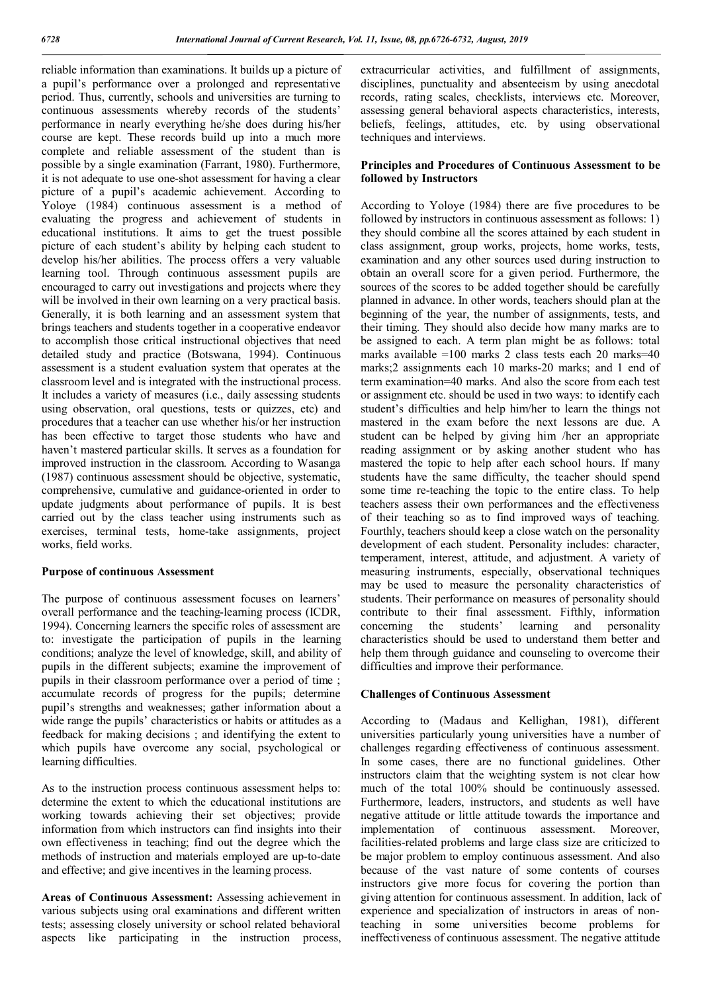reliable information than examinations. It builds up a picture of a pupil's performance over a prolonged and representative period. Thus, currently, schools and universities are turning to continuous assessments whereby records of the students' performance in nearly everything he/she does during his/her course are kept. These records build up into a much more complete and reliable assessment of the student than is possible by a single examination (Farrant, 1980). Furthermore, it is not adequate to use one-shot assessment for having a clear picture of a pupil's academic achievement. According to Yoloye (1984) continuous assessment is a method of evaluating the progress and achievement of students in educational institutions. It aims to get the truest possible picture of each student's ability by helping each student to develop his/her abilities. The process offers a very valuable learning tool. Through continuous assessment pupils are encouraged to carry out investigations and projects where they will be involved in their own learning on a very practical basis. Generally, it is both learning and an assessment system that brings teachers and students together in a cooperative endeavor to accomplish those critical instructional objectives that need detailed study and practice (Botswana, 1994). Continuous assessment is a student evaluation system that operates at the classroom level and is integrated with the instructional process. It includes a variety of measures (i.e., daily assessing students using observation, oral questions, tests or quizzes, etc) and procedures that a teacher can use whether his/or her instruction has been effective to target those students who have and haven't mastered particular skills. It serves as a foundation for improved instruction in the classroom. According to Wasanga (1987) continuous assessment should be objective, systematic, comprehensive, cumulative and guidance-oriented in order to update judgments about performance of pupils. It is best carried out by the class teacher using instruments such as exercises, terminal tests, home-take assignments, project works, field works.

#### **Purpose of continuous Assessment**

The purpose of continuous assessment focuses on learners' overall performance and the teaching-learning process (ICDR, 1994). Concerning learners the specific roles of assessment are to: investigate the participation of pupils in the learning conditions; analyze the level of knowledge, skill, and ability of pupils in the different subjects; examine the improvement of pupils in their classroom performance over a period of time ; accumulate records of progress for the pupils; determine pupil's strengths and weaknesses; gather information about a wide range the pupils' characteristics or habits or attitudes as a feedback for making decisions ; and identifying the extent to which pupils have overcome any social, psychological or learning difficulties.

As to the instruction process continuous assessment helps to: determine the extent to which the educational institutions are working towards achieving their set objectives; provide information from which instructors can find insights into their own effectiveness in teaching; find out the degree which the methods of instruction and materials employed are up-to-date and effective; and give incentives in the learning process.

**Areas of Continuous Assessment:** Assessing achievement in various subjects using oral examinations and different written tests; assessing closely university or school related behavioral aspects like participating in the instruction process,

extracurricular activities, and fulfillment of assignments, disciplines, punctuality and absenteeism by using anecdotal records, rating scales, checklists, interviews etc. Moreover, assessing general behavioral aspects characteristics, interests, beliefs, feelings, attitudes, etc. by using observational techniques and interviews.

### **Principles and Procedures of Continuous Assessment to be followed by Instructors**

According to Yoloye (1984) there are five procedures to be followed by instructors in continuous assessment as follows: 1) they should combine all the scores attained by each student in class assignment, group works, projects, home works, tests, examination and any other sources used during instruction to obtain an overall score for a given period. Furthermore, the sources of the scores to be added together should be carefully planned in advance. In other words, teachers should plan at the beginning of the year, the number of assignments, tests, and their timing. They should also decide how many marks are to be assigned to each. A term plan might be as follows: total marks available =100 marks 2 class tests each 20 marks=40 marks;2 assignments each 10 marks-20 marks; and 1 end of term examination=40 marks. And also the score from each test or assignment etc. should be used in two ways: to identify each student's difficulties and help him/her to learn the things not mastered in the exam before the next lessons are due. A student can be helped by giving him /her an appropriate reading assignment or by asking another student who has mastered the topic to help after each school hours. If many students have the same difficulty, the teacher should spend some time re-teaching the topic to the entire class. To help teachers assess their own performances and the effectiveness of their teaching so as to find improved ways of teaching. Fourthly, teachers should keep a close watch on the personality development of each student. Personality includes: character, temperament, interest, attitude, and adjustment. A variety of measuring instruments, especially, observational techniques may be used to measure the personality characteristics of students. Their performance on measures of personality should contribute to their final assessment. Fifthly, information concerning the students' learning and personality concerning the students' learning and personality characteristics should be used to understand them better and help them through guidance and counseling to overcome their difficulties and improve their performance.

#### **Challenges of Continuous Assessment**

According to (Madaus and Kellighan, 1981), different universities particularly young universities have a number of challenges regarding effectiveness of continuous assessment. In some cases, there are no functional guidelines. Other instructors claim that the weighting system is not clear how much of the total 100% should be continuously assessed. Furthermore, leaders, instructors, and students as well have negative attitude or little attitude towards the importance and implementation of continuous assessment. Moreover, facilities-related problems and large class size are criticized to be major problem to employ continuous assessment. And also because of the vast nature of some contents of courses instructors give more focus for covering the portion than giving attention for continuous assessment. In addition, lack of experience and specialization of instructors in areas of nonteaching in some universities become problems for ineffectiveness of continuous assessment. The negative attitude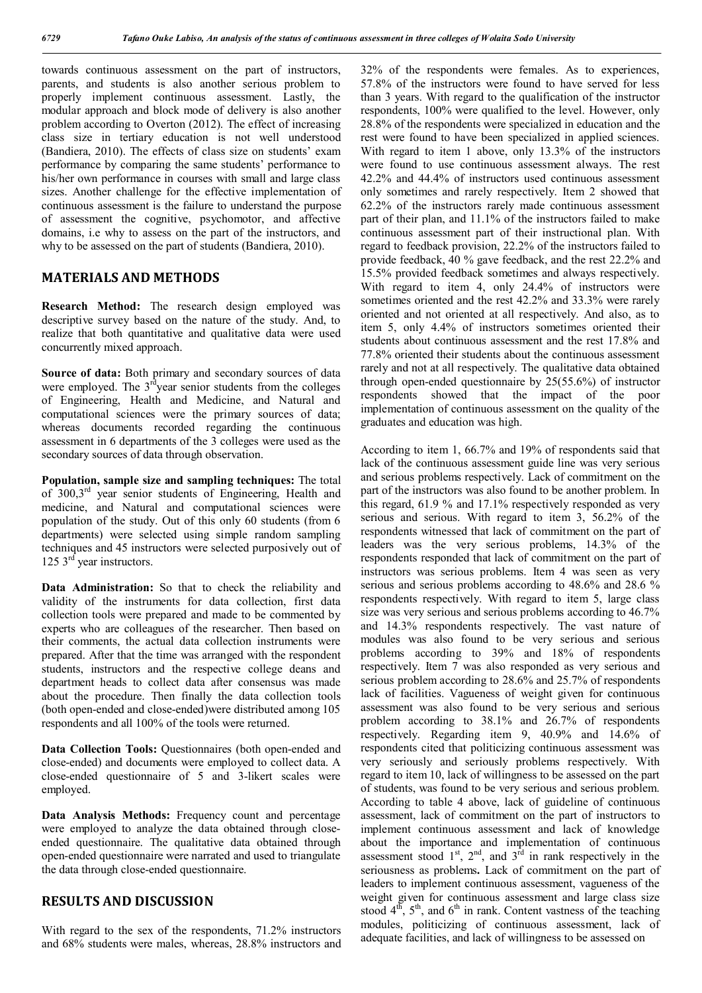towards continuous assessment on the part of instructors, parents, and students is also another serious problem to properly implement continuous assessment. Lastly, the modular approach and block mode of delivery is also another problem according to Overton (2012). The effect of increasing class size in tertiary education is not well understood (Bandiera, 2010). The effects of class size on students' exam performance by comparing the same students' performance to his/her own performance in courses with small and large class sizes. Another challenge for the effective implementation of continuous assessment is the failure to understand the purpose of assessment the cognitive, psychomotor, and affective domains, i.e why to assess on the part of the instructors, and why to be assessed on the part of students (Bandiera, 2010).

# **MATERIALS AND METHODS**

**Research Method:** The research design employed was descriptive survey based on the nature of the study. And, to realize that both quantitative and qualitative data were used concurrently mixed approach.

**Source of data:** Both primary and secondary sources of data were employed. The  $3<sup>rd</sup>$  year senior students from the colleges of Engineering, Health and Medicine, and Natural and computational sciences were the primary sources of data; whereas documents recorded regarding the continuous assessment in 6 departments of the 3 colleges were used as the secondary sources of data through observation.

**Population, sample size and sampling techniques:** The total of 300,3rd year senior students of Engineering, Health and medicine, and Natural and computational sciences were population of the study. Out of this only 60 students (from 6 departments) were selected using simple random sampling techniques and 45 instructors were selected purposively out of  $125$  3<sup>rd</sup> year instructors.

**Data Administration:** So that to check the reliability and validity of the instruments for data collection, first data collection tools were prepared and made to be commented by experts who are colleagues of the researcher. Then based on their comments, the actual data collection instruments were prepared. After that the time was arranged with the respondent students, instructors and the respective college deans and department heads to collect data after consensus was made about the procedure. Then finally the data collection tools (both open-ended and close-ended)were distributed among 105 respondents and all 100% of the tools were returned.

**Data Collection Tools:** Ouestionnaires (both open-ended and close-ended) and documents were employed to collect data. A close-ended questionnaire of 5 and 3-likert scales were employed.

**Data Analysis Methods:** Frequency count and percentage were employed to analyze the data obtained through closeended questionnaire. The qualitative data obtained through open-ended questionnaire were narrated and used to triangulate the data through close-ended questionnaire.

# **RESULTS AND DISCUSSION**

With regard to the sex of the respondents,  $71.2\%$  instructors and 68% students were males, whereas, 28.8% instructors and

32% of the respondents were females. As to experiences, 57.8% of the instructors were found to have served for less than 3 years. With regard to the qualification of the instructor respondents, 100% were qualified to the level. However, only 28.8% of the respondents were specialized in education and the rest were found to have been specialized in applied sciences. With regard to item 1 above, only 13.3% of the instructors were found to use continuous assessment always. The rest 42.2% and 44.4% of instructors used continuous assessment only sometimes and rarely respectively. Item 2 showed that 62.2% of the instructors rarely made continuous assessment part of their plan, and 11.1% of the instructors failed to make continuous assessment part of their instructional plan. With regard to feedback provision, 22.2% of the instructors failed to provide feedback, 40 % gave feedback, and the rest 22.2% and 15.5% provided feedback sometimes and always respectively. With regard to item 4, only 24.4% of instructors were sometimes oriented and the rest 42.2% and 33.3% were rarely oriented and not oriented at all respectively. And also, as to item 5, only 4.4% of instructors sometimes oriented their students about continuous assessment and the rest 17.8% and 77.8% oriented their students about the continuous assessment rarely and not at all respectively. The qualitative data obtained through open-ended questionnaire by 25(55.6%) of instructor respondents showed that the impact of the poor implementation of continuous assessment on the quality of the graduates and education was high.

According to item 1, 66.7% and 19% of respondents said that lack of the continuous assessment guide line was very serious and serious problems respectively. Lack of commitment on the part of the instructors was also found to be another problem. In this regard, 61.9 % and 17.1% respectively responded as very serious and serious. With regard to item 3, 56.2% of the respondents witnessed that lack of commitment on the part of leaders was the very serious problems, 14.3% of the respondents responded that lack of commitment on the part of instructors was serious problems. Item 4 was seen as very serious and serious problems according to 48.6% and 28.6 % respondents respectively. With regard to item 5, large class size was very serious and serious problems according to 46.7% and 14.3% respondents respectively. The vast nature of modules was also found to be very serious and serious problems according to 39% and 18% of respondents respectively. Item 7 was also responded as very serious and serious problem according to 28.6% and 25.7% of respondents lack of facilities. Vagueness of weight given for continuous assessment was also found to be very serious and serious problem according to 38.1% and 26.7% of respondents respectively. Regarding item 9, 40.9% and 14.6% of respondents cited that politicizing continuous assessment was very seriously and seriously problems respectively. With regard to item 10, lack of willingness to be assessed on the part of students, was found to be very serious and serious problem. According to table 4 above, lack of guideline of continuous assessment, lack of commitment on the part of instructors to implement continuous assessment and lack of knowledge about the importance and implementation of continuous assessment stood  $1<sup>st</sup>$ ,  $2<sup>nd</sup>$ , and  $3<sup>rd</sup>$  in rank respectively in the seriousness as problems**.** Lack of commitment on the part of leaders to implement continuous assessment, vagueness of the weight given for continuous assessment and large class size stood  $4<sup>th</sup>$ ,  $5<sup>th</sup>$ , and  $6<sup>th</sup>$  in rank. Content vastness of the teaching modules, politicizing of continuous assessment, lack of adequate facilities, and lack of willingness to be assessed on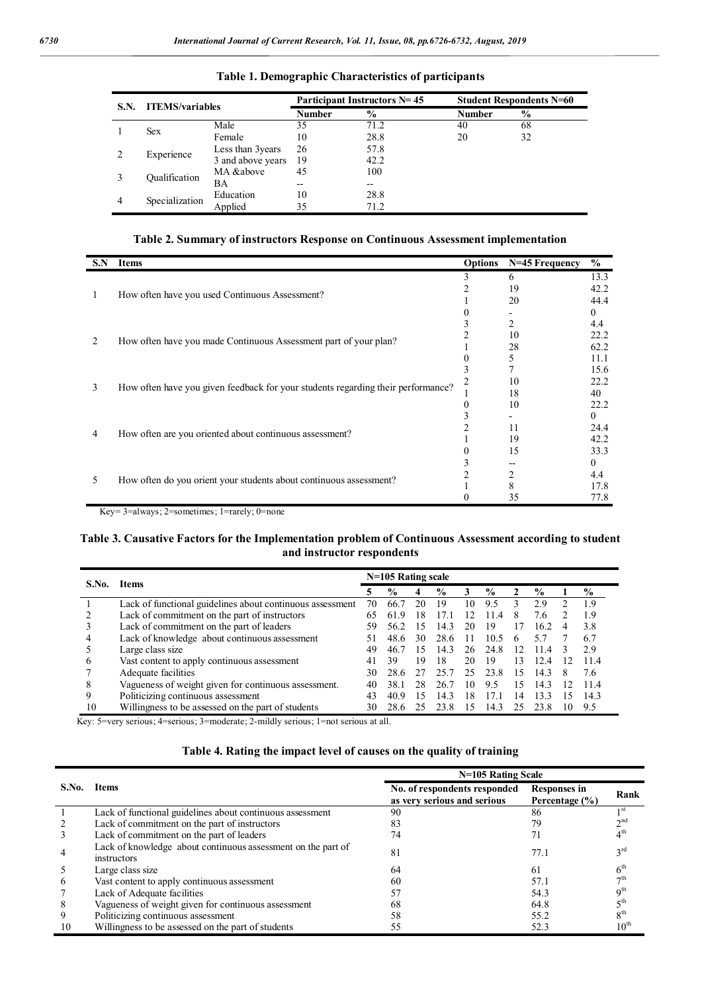| S.N. | <b>ITEMS/variables</b> |                   |               | Participant Instructors N= 45 | <b>Student Respondents N=60</b> |               |  |  |
|------|------------------------|-------------------|---------------|-------------------------------|---------------------------------|---------------|--|--|
|      |                        |                   | <b>Number</b> | $\frac{6}{9}$                 | <b>Number</b>                   | $\frac{6}{9}$ |  |  |
|      | <b>Sex</b>             | Male              | 35            | 71.2                          | 40                              | 68            |  |  |
|      |                        | Female            | 10            | 28.8                          | 20                              | 32            |  |  |
|      | Experience             | Less than 3years  | 26            | 57.8                          |                                 |               |  |  |
|      |                        | 3 and above years | 19            | 42.2                          |                                 |               |  |  |
|      | Oualification          | MA &above         | 45            | 100                           |                                 |               |  |  |
|      |                        | BA                | $- -$         | $- -$                         |                                 |               |  |  |
| 4    | Specialization         | Education         | 10            | 28.8                          |                                 |               |  |  |
|      |                        | Applied           | 35            | 71.2                          |                                 |               |  |  |

### **Table 1. Demographic Characteristics of participants**

# **Table 2. Summary of instructors Response on Continuous Assessment implementation**

| 3<br>6<br>19<br>How often have you used Continuous Assessment?<br>20<br>3<br>10<br>How often have you made Continuous Assessment part of your plan?<br>2<br>28 | 13.3<br>42.2 |
|----------------------------------------------------------------------------------------------------------------------------------------------------------------|--------------|
|                                                                                                                                                                |              |
|                                                                                                                                                                |              |
|                                                                                                                                                                | 44.4         |
|                                                                                                                                                                | $^{(1)}$     |
|                                                                                                                                                                | 4.4          |
|                                                                                                                                                                | 22.2         |
|                                                                                                                                                                | 62.2         |
|                                                                                                                                                                | 11.1         |
|                                                                                                                                                                | 15.6         |
| 10<br>3                                                                                                                                                        | 22.2         |
| How often have you given feedback for your students regarding their performance?<br>18                                                                         | 40           |
| 10<br>0                                                                                                                                                        | 22.2         |
|                                                                                                                                                                | $\theta$     |
| 11                                                                                                                                                             | 24.4         |
| How often are you oriented about continuous assessment?<br>4<br>19                                                                                             | 42.2         |
| 15                                                                                                                                                             | 33.3         |
|                                                                                                                                                                | $^{(1)}$     |
| 2<br>5                                                                                                                                                         | 4.4          |
| How often do you orient your students about continuous assessment?<br>8                                                                                        | 17.8         |
| 35                                                                                                                                                             | 77.8         |

Key= 3=always; 2=sometimes; 1=rarely; 0=none

### **Table 3. Causative Factors for the Implementation problem of Continuous Assessment according to student and instructor respondents**

| S.No. | <b>Items</b>                                              | $N=105$ Rating scale |               |    |               |    |               |            |               |  |               |
|-------|-----------------------------------------------------------|----------------------|---------------|----|---------------|----|---------------|------------|---------------|--|---------------|
|       |                                                           |                      | $\frac{6}{9}$ | 4  | $\frac{0}{0}$ | 3  | $\frac{0}{0}$ |            | $\frac{0}{0}$ |  | $\frac{0}{0}$ |
|       | Lack of functional guidelines about continuous assessment | 70                   | 66.7          | 20 | 19            | 10 | 9.5           |            | 2.9           |  | 1.9           |
|       | Lack of commitment on the part of instructors             | 65                   | 619           | 18 | 17.1          | 12 | 11<br>-4      | 8          | 7.6           |  | 1.9           |
|       | Lack of commitment on the part of leaders                 | 59                   | 56.2          | 15 | 14.3          | 20 | 19            | 17         | 16.2          |  | 3.8           |
|       | Lack of knowledge about continuous assessment             | 51                   | 48.6          | 30 | 28.6          |    | 10.5          | h          | 57            |  | 6.7           |
|       | Large class size                                          | 49                   | 46.7          | 15 | 143           | 26 | 24.8          | 12         | 11<br>-4      |  | 2.9           |
|       | Vast content to apply continuous assessment               | 41                   | 39            | 19 | 18            | 20 | 19            | 13         | 12.4          |  | 114           |
|       | Adequate facilities                                       | 30                   | 28.6          |    |               | 25 | 23.8          | 15         | 14.3          |  | 7.6           |
|       | Vagueness of weight given for continuous assessment.      | 40                   | 38.1          | 28 | 26.7          | 10 | 9.5           | 15         | 14.3          |  | 114           |
| Q     | Politicizing continuous assessment                        | 43                   | 40.9          | 15 | 143           | 18 | 171           | $\sqrt{4}$ | 13.3          |  | 143           |
| 10    | Willingness to be assessed on the part of students        | 30                   | 28.6          |    | 23.8          | 15 | 14.3          |            | 23.8          |  | 9.5           |

Key: 5=very serious; 4=serious; 3=moderate; 2-mildly serious; 1=not serious at all.

# **Table 4. Rating the impact level of causes on the quality of training**

|                |                                                                             | N=105 Rating Scale                                          |                                    |                  |  |  |  |  |
|----------------|-----------------------------------------------------------------------------|-------------------------------------------------------------|------------------------------------|------------------|--|--|--|--|
| S.No.          | <b>Items</b>                                                                | No. of respondents responded<br>as very serious and serious | Responses in<br>Percentage $(\% )$ | Rank             |  |  |  |  |
|                | Lack of functional guidelines about continuous assessment                   | 90                                                          | 86                                 | 1 <sub>st</sub>  |  |  |  |  |
| 2              | Lack of commitment on the part of instructors                               | 83                                                          | 79                                 | 2 <sup>nd</sup>  |  |  |  |  |
| 3              | Lack of commitment on the part of leaders                                   | 74                                                          |                                    | $4^{\text{th}}$  |  |  |  |  |
| $\overline{4}$ | Lack of knowledge about continuous assessment on the part of<br>instructors | 81                                                          | 77.1                               | 3 <sup>rd</sup>  |  |  |  |  |
|                | Large class size                                                            | 64                                                          | 61                                 | 6 <sup>th</sup>  |  |  |  |  |
| 6              | Vast content to apply continuous assessment                                 | 60                                                          | 57.1                               | $\neg$ th        |  |  |  |  |
| 7              | Lack of Adequate facilities                                                 | 57                                                          | 54.3                               | 9 <sup>th</sup>  |  |  |  |  |
| 8              | Vagueness of weight given for continuous assessment                         | 68                                                          | 64.8                               | 5 <sup>th</sup>  |  |  |  |  |
| 9              | Politicizing continuous assessment                                          | 58                                                          | 55.2                               | 8 <sup>th</sup>  |  |  |  |  |
| 10             | Willingness to be assessed on the part of students                          | 55                                                          | 52.3                               | 10 <sup>th</sup> |  |  |  |  |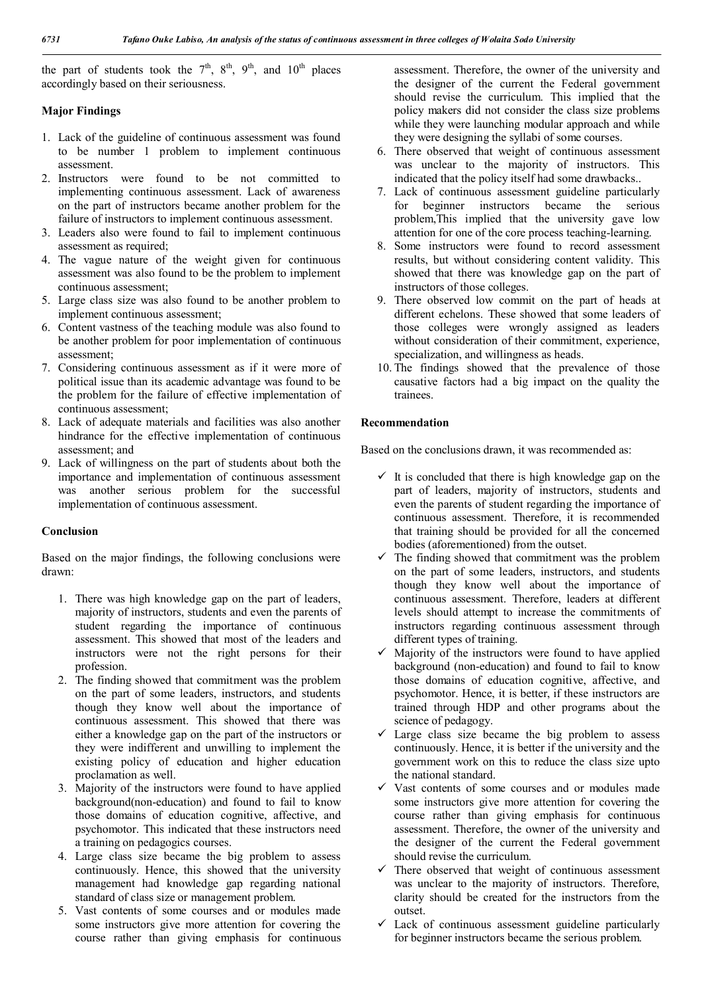the part of students took the  $7<sup>th</sup>$ ,  $8<sup>th</sup>$ ,  $9<sup>th</sup>$ , and  $10<sup>th</sup>$  places accordingly based on their seriousness.

# **Major Findings**

- 1. Lack of the guideline of continuous assessment was found to be number 1 problem to implement continuous assessment.
- 2. Instructors were found to be not committed to implementing continuous assessment. Lack of awareness on the part of instructors became another problem for the failure of instructors to implement continuous assessment.
- 3. Leaders also were found to fail to implement continuous assessment as required;
- 4. The vague nature of the weight given for continuous assessment was also found to be the problem to implement continuous assessment;
- 5. Large class size was also found to be another problem to implement continuous assessment;
- 6. Content vastness of the teaching module was also found to be another problem for poor implementation of continuous assessment;
- 7. Considering continuous assessment as if it were more of political issue than its academic advantage was found to be the problem for the failure of effective implementation of continuous assessment;
- 8. Lack of adequate materials and facilities was also another hindrance for the effective implementation of continuous assessment; and
- 9. Lack of willingness on the part of students about both the importance and implementation of continuous assessment was another serious problem for the successful implementation of continuous assessment.

## **Conclusion**

Based on the major findings, the following conclusions were drawn:

- 1. There was high knowledge gap on the part of leaders, majority of instructors, students and even the parents of student regarding the importance of continuous assessment. This showed that most of the leaders and instructors were not the right persons for their profession.
- 2. The finding showed that commitment was the problem on the part of some leaders, instructors, and students though they know well about the importance of continuous assessment. This showed that there was either a knowledge gap on the part of the instructors or they were indifferent and unwilling to implement the existing policy of education and higher education proclamation as well.
- 3. Majority of the instructors were found to have applied background(non-education) and found to fail to know those domains of education cognitive, affective, and psychomotor. This indicated that these instructors need a training on pedagogics courses.
- 4. Large class size became the big problem to assess continuously. Hence, this showed that the university management had knowledge gap regarding national standard of class size or management problem.
- 5. Vast contents of some courses and or modules made some instructors give more attention for covering the course rather than giving emphasis for continuous

assessment. Therefore, the owner of the university and the designer of the current the Federal government should revise the curriculum. This implied that the policy makers did not consider the class size problems while they were launching modular approach and while they were designing the syllabi of some courses.

- 6. There observed that weight of continuous assessment was unclear to the majority of instructors. This indicated that the policy itself had some drawbacks..
- 7. Lack of continuous assessment guideline particularly for beginner instructors became the serious problem,This implied that the university gave low attention for one of the core process teaching-learning.
- 8. Some instructors were found to record assessment results, but without considering content validity. This showed that there was knowledge gap on the part of instructors of those colleges.
- 9. There observed low commit on the part of heads at different echelons. These showed that some leaders of those colleges were wrongly assigned as leaders without consideration of their commitment, experience, specialization, and willingness as heads.
- 10. The findings showed that the prevalence of those causative factors had a big impact on the quality the trainees.

## **Recommendation**

Based on the conclusions drawn, it was recommended as:

- $\checkmark$  It is concluded that there is high knowledge gap on the part of leaders, majority of instructors, students and even the parents of student regarding the importance of continuous assessment. Therefore, it is recommended that training should be provided for all the concerned bodies (aforementioned) from the outset.
- $\checkmark$  The finding showed that commitment was the problem on the part of some leaders, instructors, and students though they know well about the importance of continuous assessment. Therefore, leaders at different levels should attempt to increase the commitments of instructors regarding continuous assessment through different types of training.
- $\checkmark$  Majority of the instructors were found to have applied background (non-education) and found to fail to know those domains of education cognitive, affective, and psychomotor. Hence, it is better, if these instructors are trained through HDP and other programs about the science of pedagogy.
- Large class size became the big problem to assess continuously. Hence, it is better if the university and the government work on this to reduce the class size upto the national standard.
- Vast contents of some courses and or modules made some instructors give more attention for covering the course rather than giving emphasis for continuous assessment. Therefore, the owner of the university and the designer of the current the Federal government should revise the curriculum.
- $\checkmark$  There observed that weight of continuous assessment was unclear to the majority of instructors. Therefore, clarity should be created for the instructors from the outset.
- $\checkmark$  Lack of continuous assessment guideline particularly for beginner instructors became the serious problem.